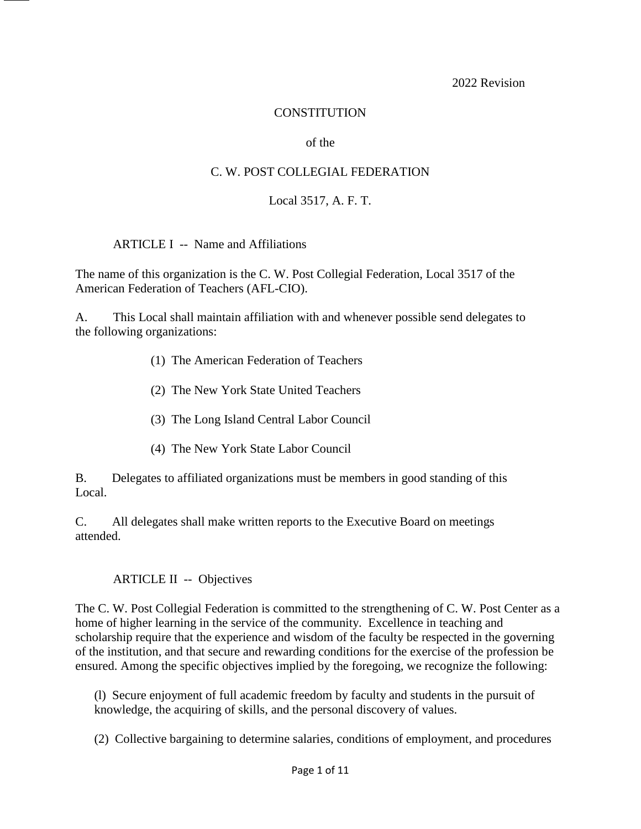2022 Revision

#### **CONSTITUTION**

#### of the

#### C. W. POST COLLEGIAL FEDERATION

#### Local 3517, A. F. T.

ARTICLE I -- Name and Affiliations

The name of this organization is the C. W. Post Collegial Federation, Local 3517 of the American Federation of Teachers (AFL-CIO).

A. This Local shall maintain affiliation with and whenever possible send delegates to the following organizations:

- (1) The American Federation of Teachers
- (2) The New York State United Teachers
- (3) The Long Island Central Labor Council
- (4) The New York State Labor Council

B. Delegates to affiliated organizations must be members in good standing of this Local.

C. All delegates shall make written reports to the Executive Board on meetings attended.

#### ARTICLE II -- Objectives

The C. W. Post Collegial Federation is committed to the strengthening of C. W. Post Center as a home of higher learning in the service of the community. Excellence in teaching and scholarship require that the experience and wisdom of the faculty be respected in the governing of the institution, and that secure and rewarding conditions for the exercise of the profession be ensured. Among the specific objectives implied by the foregoing, we recognize the following:

(l) Secure enjoyment of full academic freedom by faculty and students in the pursuit of knowledge, the acquiring of skills, and the personal discovery of values.

(2) Collective bargaining to determine salaries, conditions of employment, and procedures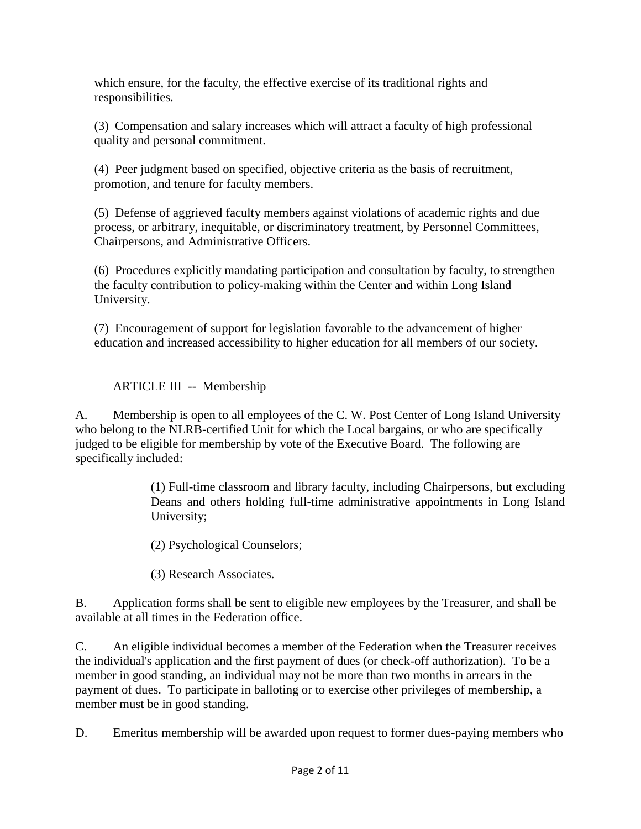which ensure, for the faculty, the effective exercise of its traditional rights and responsibilities.

(3) Compensation and salary increases which will attract a faculty of high professional quality and personal commitment.

(4) Peer judgment based on specified, objective criteria as the basis of recruitment, promotion, and tenure for faculty members.

(5) Defense of aggrieved faculty members against violations of academic rights and due process, or arbitrary, inequitable, or discriminatory treatment, by Personnel Committees, Chairpersons, and Administrative Officers.

(6) Procedures explicitly mandating participation and consultation by faculty, to strengthen the faculty contribution to policy-making within the Center and within Long Island University.

(7) Encouragement of support for legislation favorable to the advancement of higher education and increased accessibility to higher education for all members of our society.

ARTICLE III -- Membership

A. Membership is open to all employees of the C. W. Post Center of Long Island University who belong to the NLRB-certified Unit for which the Local bargains, or who are specifically judged to be eligible for membership by vote of the Executive Board. The following are specifically included:

> (1) Full-time classroom and library faculty, including Chairpersons, but excluding Deans and others holding full-time administrative appointments in Long Island University;

(2) Psychological Counselors;

(3) Research Associates.

B. Application forms shall be sent to eligible new employees by the Treasurer, and shall be available at all times in the Federation office.

C. An eligible individual becomes a member of the Federation when the Treasurer receives the individual's application and the first payment of dues (or check-off authorization). To be a member in good standing, an individual may not be more than two months in arrears in the payment of dues. To participate in balloting or to exercise other privileges of membership, a member must be in good standing.

D. Emeritus membership will be awarded upon request to former dues-paying members who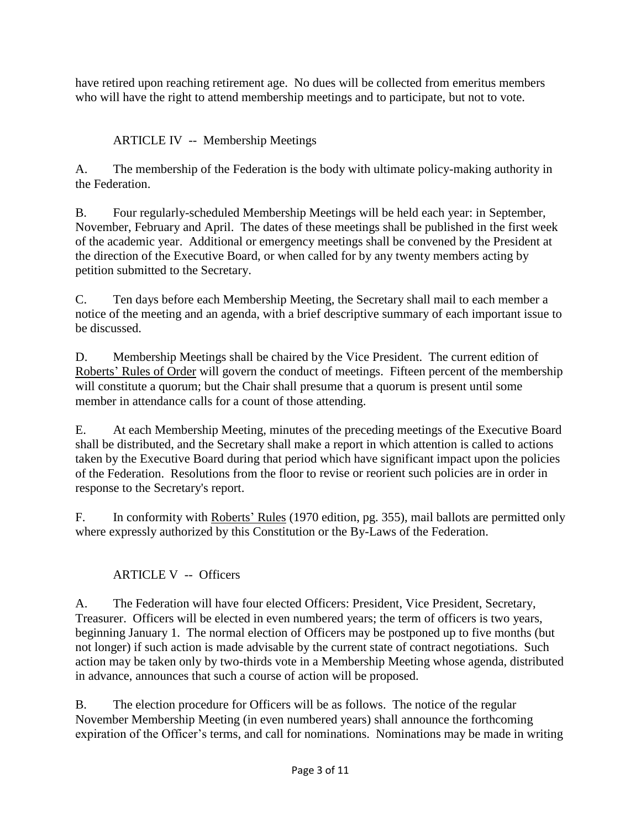have retired upon reaching retirement age. No dues will be collected from emeritus members who will have the right to attend membership meetings and to participate, but not to vote.

# ARTICLE IV -- Membership Meetings

A. The membership of the Federation is the body with ultimate policy-making authority in the Federation.

B. Four regularly-scheduled Membership Meetings will be held each year: in September, November, February and April. The dates of these meetings shall be published in the first week of the academic year. Additional or emergency meetings shall be convened by the President at the direction of the Executive Board, or when called for by any twenty members acting by petition submitted to the Secretary.

C. Ten days before each Membership Meeting, the Secretary shall mail to each member a notice of the meeting and an agenda, with a brief descriptive summary of each important issue to be discussed.

D. Membership Meetings shall be chaired by the Vice President. The current edition of Roberts' Rules of Order will govern the conduct of meetings. Fifteen percent of the membership will constitute a quorum; but the Chair shall presume that a quorum is present until some member in attendance calls for a count of those attending.

E. At each Membership Meeting, minutes of the preceding meetings of the Executive Board shall be distributed, and the Secretary shall make a report in which attention is called to actions taken by the Executive Board during that period which have significant impact upon the policies of the Federation. Resolutions from the floor to revise or reorient such policies are in order in response to the Secretary's report.

F. In conformity with Roberts' Rules (1970 edition, pg. 355), mail ballots are permitted only where expressly authorized by this Constitution or the By-Laws of the Federation.

# ARTICLE V -- Officers

A. The Federation will have four elected Officers: President, Vice President, Secretary, Treasurer. Officers will be elected in even numbered years; the term of officers is two years, beginning January 1. The normal election of Officers may be postponed up to five months (but not longer) if such action is made advisable by the current state of contract negotiations. Such action may be taken only by two-thirds vote in a Membership Meeting whose agenda, distributed in advance, announces that such a course of action will be proposed.

B. The election procedure for Officers will be as follows. The notice of the regular November Membership Meeting (in even numbered years) shall announce the forthcoming expiration of the Officer's terms, and call for nominations. Nominations may be made in writing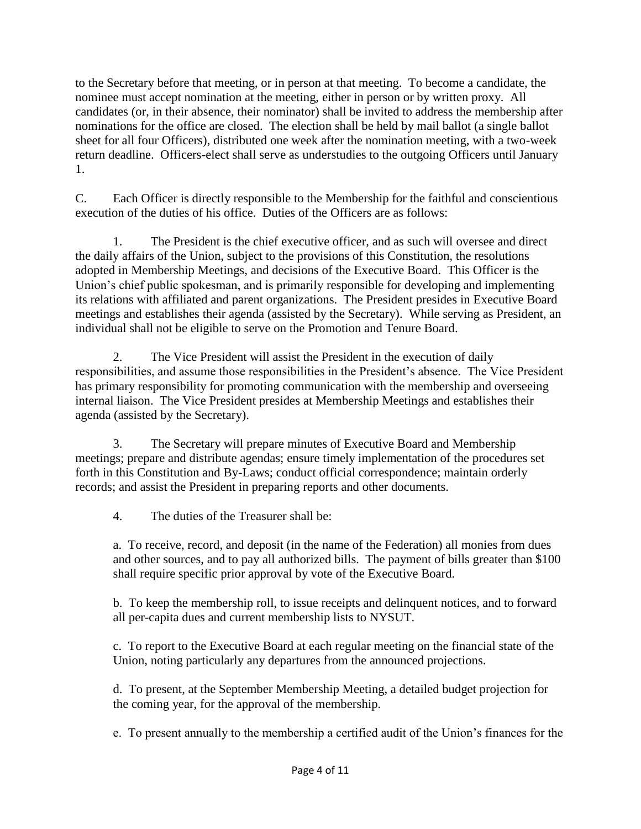to the Secretary before that meeting, or in person at that meeting. To become a candidate, the nominee must accept nomination at the meeting, either in person or by written proxy. All candidates (or, in their absence, their nominator) shall be invited to address the membership after nominations for the office are closed. The election shall be held by mail ballot (a single ballot sheet for all four Officers), distributed one week after the nomination meeting, with a two-week return deadline. Officers-elect shall serve as understudies to the outgoing Officers until January 1.

C. Each Officer is directly responsible to the Membership for the faithful and conscientious execution of the duties of his office. Duties of the Officers are as follows:

1. The President is the chief executive officer, and as such will oversee and direct the daily affairs of the Union, subject to the provisions of this Constitution, the resolutions adopted in Membership Meetings, and decisions of the Executive Board. This Officer is the Union's chief public spokesman, and is primarily responsible for developing and implementing its relations with affiliated and parent organizations. The President presides in Executive Board meetings and establishes their agenda (assisted by the Secretary). While serving as President, an individual shall not be eligible to serve on the Promotion and Tenure Board.

2. The Vice President will assist the President in the execution of daily responsibilities, and assume those responsibilities in the President's absence. The Vice President has primary responsibility for promoting communication with the membership and overseeing internal liaison. The Vice President presides at Membership Meetings and establishes their agenda (assisted by the Secretary).

3. The Secretary will prepare minutes of Executive Board and Membership meetings; prepare and distribute agendas; ensure timely implementation of the procedures set forth in this Constitution and By-Laws; conduct official correspondence; maintain orderly records; and assist the President in preparing reports and other documents.

4. The duties of the Treasurer shall be:

a. To receive, record, and deposit (in the name of the Federation) all monies from dues and other sources, and to pay all authorized bills. The payment of bills greater than \$100 shall require specific prior approval by vote of the Executive Board.

b. To keep the membership roll, to issue receipts and delinquent notices, and to forward all per-capita dues and current membership lists to NYSUT.

c. To report to the Executive Board at each regular meeting on the financial state of the Union, noting particularly any departures from the announced projections.

d. To present, at the September Membership Meeting, a detailed budget projection for the coming year, for the approval of the membership.

e. To present annually to the membership a certified audit of the Union's finances for the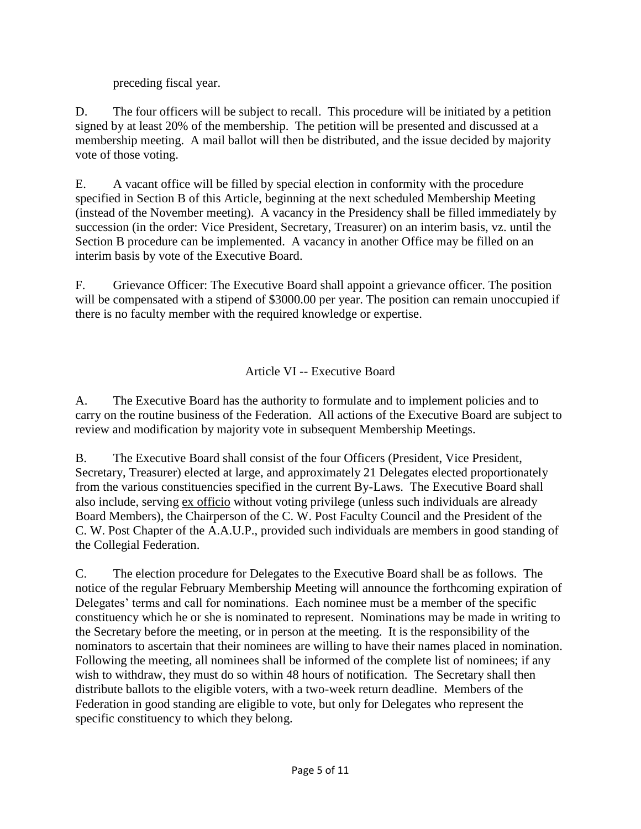preceding fiscal year.

D. The four officers will be subject to recall. This procedure will be initiated by a petition signed by at least 20% of the membership. The petition will be presented and discussed at a membership meeting. A mail ballot will then be distributed, and the issue decided by majority vote of those voting.

E. A vacant office will be filled by special election in conformity with the procedure specified in Section B of this Article, beginning at the next scheduled Membership Meeting (instead of the November meeting). A vacancy in the Presidency shall be filled immediately by succession (in the order: Vice President, Secretary, Treasurer) on an interim basis, vz. until the Section B procedure can be implemented. A vacancy in another Office may be filled on an interim basis by vote of the Executive Board.

F. Grievance Officer: The Executive Board shall appoint a grievance officer. The position will be compensated with a stipend of \$3000.00 per year. The position can remain unoccupied if there is no faculty member with the required knowledge or expertise.

# Article VI -- Executive Board

A. The Executive Board has the authority to formulate and to implement policies and to carry on the routine business of the Federation. All actions of the Executive Board are subject to review and modification by majority vote in subsequent Membership Meetings.

B. The Executive Board shall consist of the four Officers (President, Vice President, Secretary, Treasurer) elected at large, and approximately 21 Delegates elected proportionately from the various constituencies specified in the current By-Laws. The Executive Board shall also include, serving ex officio without voting privilege (unless such individuals are already Board Members), the Chairperson of the C. W. Post Faculty Council and the President of the C. W. Post Chapter of the A.A.U.P., provided such individuals are members in good standing of the Collegial Federation.

C. The election procedure for Delegates to the Executive Board shall be as follows. The notice of the regular February Membership Meeting will announce the forthcoming expiration of Delegates' terms and call for nominations. Each nominee must be a member of the specific constituency which he or she is nominated to represent. Nominations may be made in writing to the Secretary before the meeting, or in person at the meeting. It is the responsibility of the nominators to ascertain that their nominees are willing to have their names placed in nomination. Following the meeting, all nominees shall be informed of the complete list of nominees; if any wish to withdraw, they must do so within 48 hours of notification. The Secretary shall then distribute ballots to the eligible voters, with a two-week return deadline. Members of the Federation in good standing are eligible to vote, but only for Delegates who represent the specific constituency to which they belong.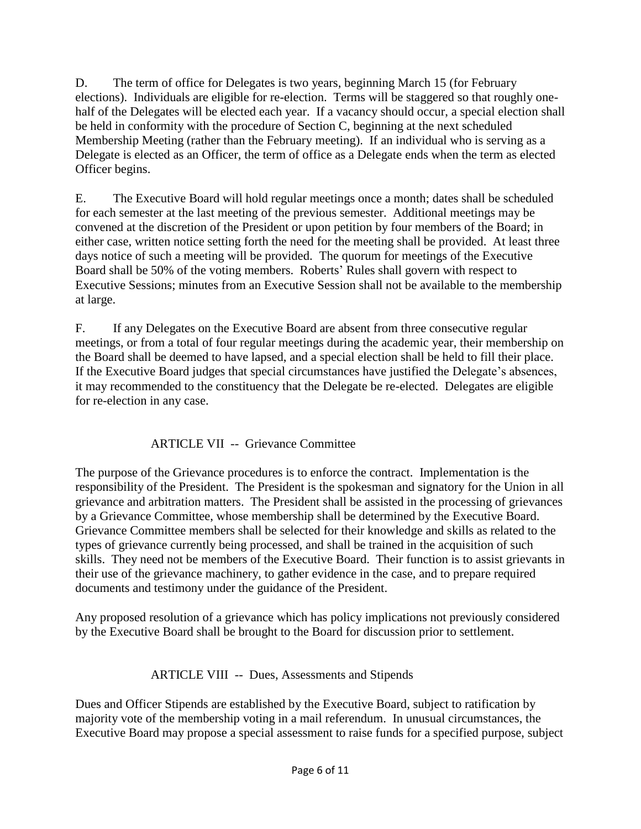D. The term of office for Delegates is two years, beginning March 15 (for February elections). Individuals are eligible for re-election. Terms will be staggered so that roughly onehalf of the Delegates will be elected each year. If a vacancy should occur, a special election shall be held in conformity with the procedure of Section C, beginning at the next scheduled Membership Meeting (rather than the February meeting). If an individual who is serving as a Delegate is elected as an Officer, the term of office as a Delegate ends when the term as elected Officer begins.

E. The Executive Board will hold regular meetings once a month; dates shall be scheduled for each semester at the last meeting of the previous semester. Additional meetings may be convened at the discretion of the President or upon petition by four members of the Board; in either case, written notice setting forth the need for the meeting shall be provided. At least three days notice of such a meeting will be provided. The quorum for meetings of the Executive Board shall be 50% of the voting members. Roberts' Rules shall govern with respect to Executive Sessions; minutes from an Executive Session shall not be available to the membership at large.

F. If any Delegates on the Executive Board are absent from three consecutive regular meetings, or from a total of four regular meetings during the academic year, their membership on the Board shall be deemed to have lapsed, and a special election shall be held to fill their place. If the Executive Board judges that special circumstances have justified the Delegate's absences, it may recommended to the constituency that the Delegate be re-elected. Delegates are eligible for re-election in any case.

# ARTICLE VII -- Grievance Committee

The purpose of the Grievance procedures is to enforce the contract. Implementation is the responsibility of the President. The President is the spokesman and signatory for the Union in all grievance and arbitration matters. The President shall be assisted in the processing of grievances by a Grievance Committee, whose membership shall be determined by the Executive Board. Grievance Committee members shall be selected for their knowledge and skills as related to the types of grievance currently being processed, and shall be trained in the acquisition of such skills. They need not be members of the Executive Board. Their function is to assist grievants in their use of the grievance machinery, to gather evidence in the case, and to prepare required documents and testimony under the guidance of the President.

Any proposed resolution of a grievance which has policy implications not previously considered by the Executive Board shall be brought to the Board for discussion prior to settlement.

# ARTICLE VIII -- Dues, Assessments and Stipends

Dues and Officer Stipends are established by the Executive Board, subject to ratification by majority vote of the membership voting in a mail referendum. In unusual circumstances, the Executive Board may propose a special assessment to raise funds for a specified purpose, subject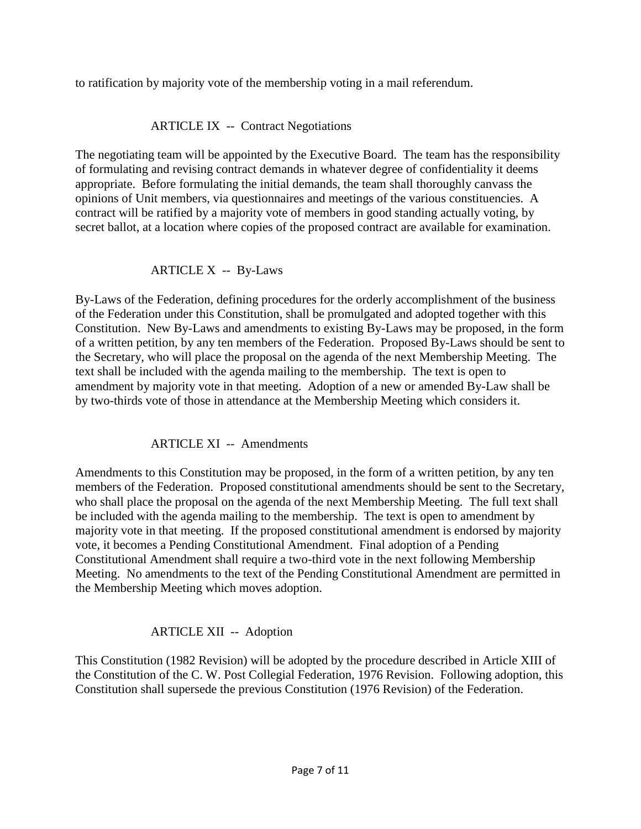to ratification by majority vote of the membership voting in a mail referendum.

# ARTICLE IX -- Contract Negotiations

The negotiating team will be appointed by the Executive Board. The team has the responsibility of formulating and revising contract demands in whatever degree of confidentiality it deems appropriate. Before formulating the initial demands, the team shall thoroughly canvass the opinions of Unit members, via questionnaires and meetings of the various constituencies. A contract will be ratified by a majority vote of members in good standing actually voting, by secret ballot, at a location where copies of the proposed contract are available for examination.

### ARTICLE X -- By-Laws

By-Laws of the Federation, defining procedures for the orderly accomplishment of the business of the Federation under this Constitution, shall be promulgated and adopted together with this Constitution. New By-Laws and amendments to existing By-Laws may be proposed, in the form of a written petition, by any ten members of the Federation. Proposed By-Laws should be sent to the Secretary, who will place the proposal on the agenda of the next Membership Meeting. The text shall be included with the agenda mailing to the membership. The text is open to amendment by majority vote in that meeting. Adoption of a new or amended By-Law shall be by two-thirds vote of those in attendance at the Membership Meeting which considers it.

#### ARTICLE XI -- Amendments

Amendments to this Constitution may be proposed, in the form of a written petition, by any ten members of the Federation. Proposed constitutional amendments should be sent to the Secretary, who shall place the proposal on the agenda of the next Membership Meeting. The full text shall be included with the agenda mailing to the membership. The text is open to amendment by majority vote in that meeting. If the proposed constitutional amendment is endorsed by majority vote, it becomes a Pending Constitutional Amendment. Final adoption of a Pending Constitutional Amendment shall require a two-third vote in the next following Membership Meeting. No amendments to the text of the Pending Constitutional Amendment are permitted in the Membership Meeting which moves adoption.

# ARTICLE XII -- Adoption

This Constitution (1982 Revision) will be adopted by the procedure described in Article XIII of the Constitution of the C. W. Post Collegial Federation, 1976 Revision. Following adoption, this Constitution shall supersede the previous Constitution (1976 Revision) of the Federation.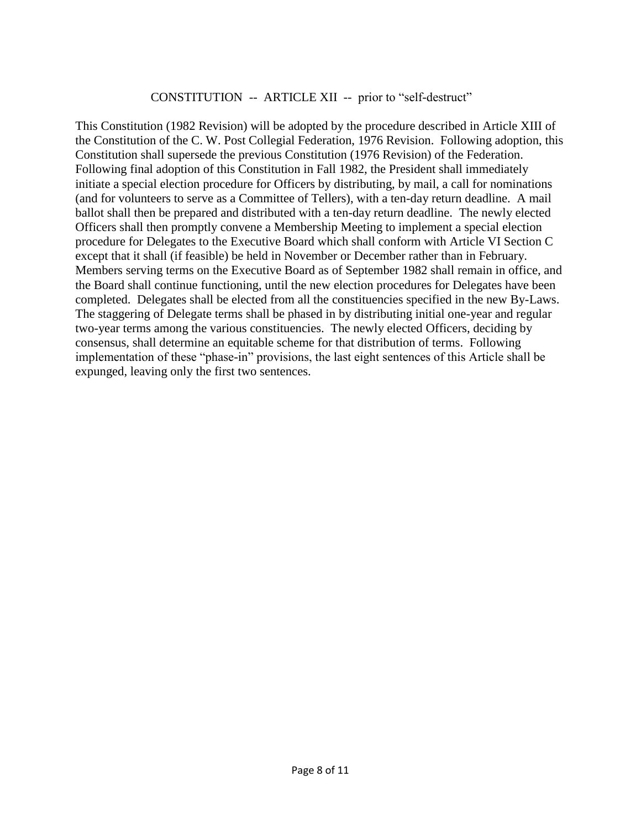#### CONSTITUTION -- ARTICLE XII -- prior to "self-destruct"

This Constitution (1982 Revision) will be adopted by the procedure described in Article XIII of the Constitution of the C. W. Post Collegial Federation, 1976 Revision. Following adoption, this Constitution shall supersede the previous Constitution (1976 Revision) of the Federation. Following final adoption of this Constitution in Fall 1982, the President shall immediately initiate a special election procedure for Officers by distributing, by mail, a call for nominations (and for volunteers to serve as a Committee of Tellers), with a ten-day return deadline. A mail ballot shall then be prepared and distributed with a ten-day return deadline. The newly elected Officers shall then promptly convene a Membership Meeting to implement a special election procedure for Delegates to the Executive Board which shall conform with Article VI Section C except that it shall (if feasible) be held in November or December rather than in February. Members serving terms on the Executive Board as of September 1982 shall remain in office, and the Board shall continue functioning, until the new election procedures for Delegates have been completed. Delegates shall be elected from all the constituencies specified in the new By-Laws. The staggering of Delegate terms shall be phased in by distributing initial one-year and regular two-year terms among the various constituencies. The newly elected Officers, deciding by consensus, shall determine an equitable scheme for that distribution of terms. Following implementation of these "phase-in" provisions, the last eight sentences of this Article shall be expunged, leaving only the first two sentences.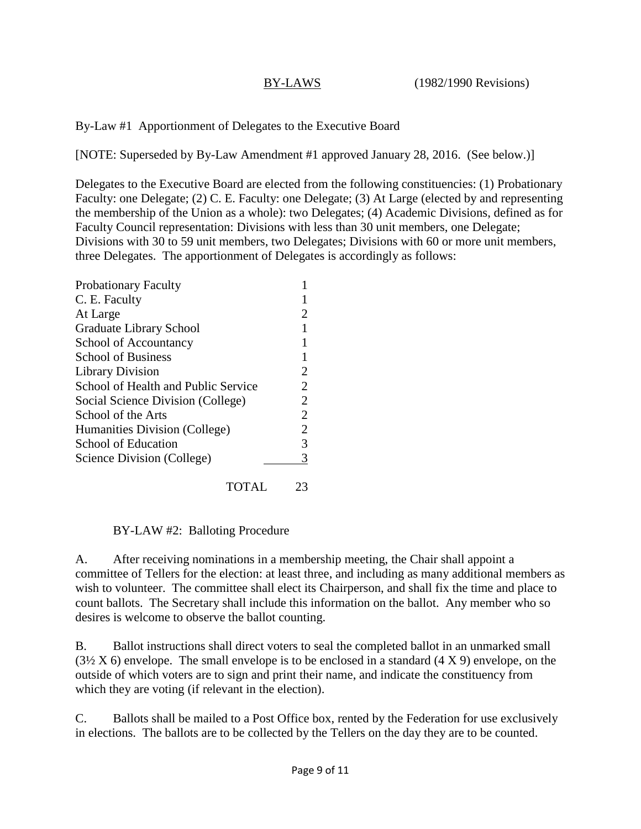By-Law #1 Apportionment of Delegates to the Executive Board

[NOTE: Superseded by By-Law Amendment #1 approved January 28, 2016. (See below.)]

Delegates to the Executive Board are elected from the following constituencies: (1) Probationary Faculty: one Delegate; (2) C. E. Faculty: one Delegate; (3) At Large (elected by and representing the membership of the Union as a whole): two Delegates; (4) Academic Divisions, defined as for Faculty Council representation: Divisions with less than 30 unit members, one Delegate; Divisions with 30 to 59 unit members, two Delegates; Divisions with 60 or more unit members, three Delegates. The apportionment of Delegates is accordingly as follows:

| <b>Probationary Faculty</b>         |                |
|-------------------------------------|----------------|
| C. E. Faculty                       |                |
| At Large                            |                |
| Graduate Library School             |                |
| School of Accountancy               |                |
| <b>School of Business</b>           |                |
| <b>Library Division</b>             | 2              |
| School of Health and Public Service | 2              |
| Social Science Division (College)   | 2              |
| School of the Arts                  | $\overline{2}$ |
| Humanities Division (College)       | $\overline{2}$ |
| School of Education                 | 3              |
| Science Division (College)          | 3              |
|                                     |                |

TOTAL 23

BY-LAW #2: Balloting Procedure

A. After receiving nominations in a membership meeting, the Chair shall appoint a committee of Tellers for the election: at least three, and including as many additional members as wish to volunteer. The committee shall elect its Chairperson, and shall fix the time and place to count ballots. The Secretary shall include this information on the ballot. Any member who so desires is welcome to observe the ballot counting.

B. Ballot instructions shall direct voters to seal the completed ballot in an unmarked small  $(3\frac{1}{2}X 6)$  envelope. The small envelope is to be enclosed in a standard  $(4 X 9)$  envelope, on the outside of which voters are to sign and print their name, and indicate the constituency from which they are voting (if relevant in the election).

C. Ballots shall be mailed to a Post Office box, rented by the Federation for use exclusively in elections. The ballots are to be collected by the Tellers on the day they are to be counted.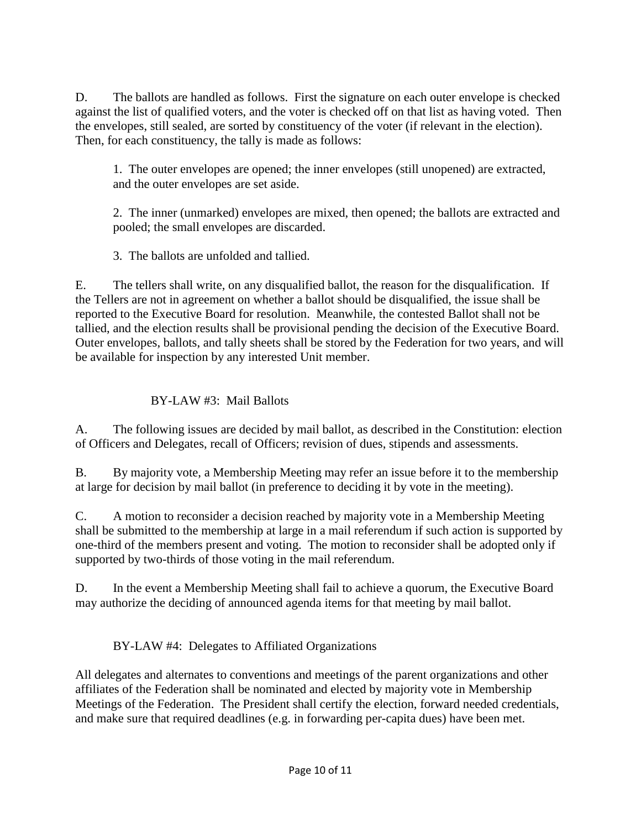D. The ballots are handled as follows. First the signature on each outer envelope is checked against the list of qualified voters, and the voter is checked off on that list as having voted. Then the envelopes, still sealed, are sorted by constituency of the voter (if relevant in the election). Then, for each constituency, the tally is made as follows:

1. The outer envelopes are opened; the inner envelopes (still unopened) are extracted, and the outer envelopes are set aside.

2. The inner (unmarked) envelopes are mixed, then opened; the ballots are extracted and pooled; the small envelopes are discarded.

3. The ballots are unfolded and tallied.

E. The tellers shall write, on any disqualified ballot, the reason for the disqualification. If the Tellers are not in agreement on whether a ballot should be disqualified, the issue shall be reported to the Executive Board for resolution. Meanwhile, the contested Ballot shall not be tallied, and the election results shall be provisional pending the decision of the Executive Board. Outer envelopes, ballots, and tally sheets shall be stored by the Federation for two years, and will be available for inspection by any interested Unit member.

# BY-LAW #3: Mail Ballots

A. The following issues are decided by mail ballot, as described in the Constitution: election of Officers and Delegates, recall of Officers; revision of dues, stipends and assessments.

B. By majority vote, a Membership Meeting may refer an issue before it to the membership at large for decision by mail ballot (in preference to deciding it by vote in the meeting).

C. A motion to reconsider a decision reached by majority vote in a Membership Meeting shall be submitted to the membership at large in a mail referendum if such action is supported by one-third of the members present and voting. The motion to reconsider shall be adopted only if supported by two-thirds of those voting in the mail referendum.

D. In the event a Membership Meeting shall fail to achieve a quorum, the Executive Board may authorize the deciding of announced agenda items for that meeting by mail ballot.

# BY-LAW #4: Delegates to Affiliated Organizations

All delegates and alternates to conventions and meetings of the parent organizations and other affiliates of the Federation shall be nominated and elected by majority vote in Membership Meetings of the Federation. The President shall certify the election, forward needed credentials, and make sure that required deadlines (e.g. in forwarding per-capita dues) have been met.